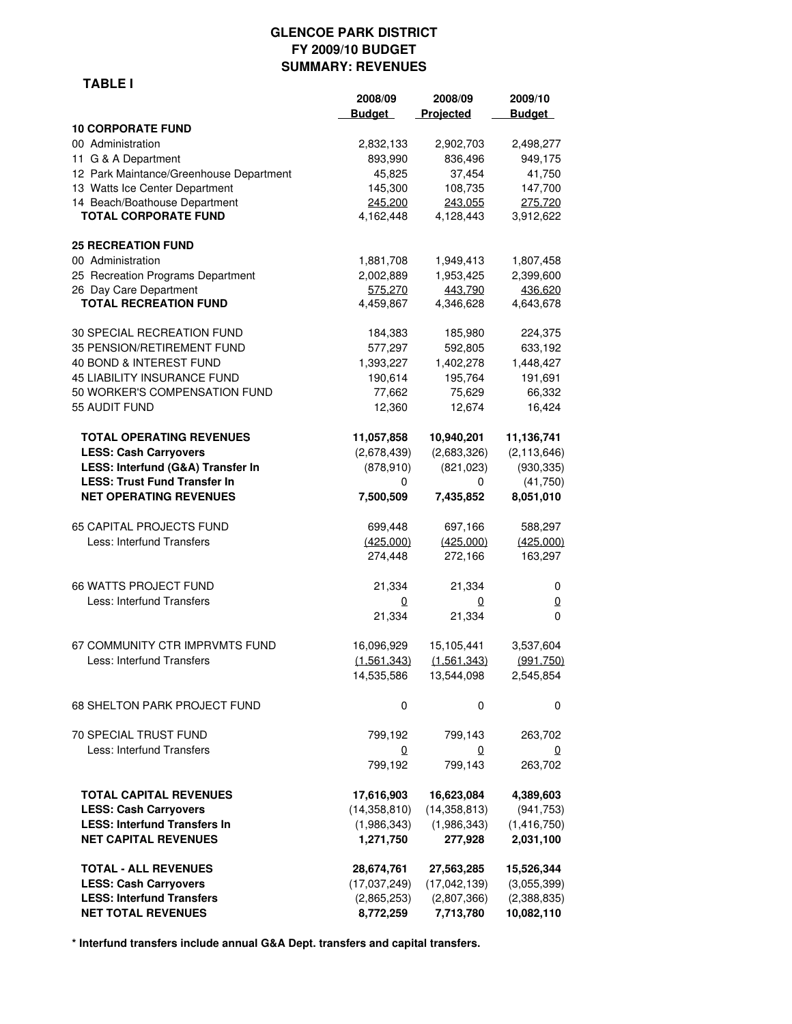#### **GLENCOE PARK DISTRICT FY 2009/10 BUDGET SUMMARY: REVENUES**

|--|

|                                         | 2008/09<br><b>Budget</b> | 2008/09<br>Projected | 2009/10<br><b>Budget</b> |
|-----------------------------------------|--------------------------|----------------------|--------------------------|
| <b>10 CORPORATE FUND</b>                |                          |                      |                          |
| 00 Administration                       | 2,832,133                | 2,902,703            | 2,498,277                |
| 11 G & A Department                     | 893,990                  | 836,496              | 949,175                  |
| 12 Park Maintance/Greenhouse Department | 45,825                   | 37,454               | 41,750                   |
| 13 Watts Ice Center Department          | 145,300                  | 108,735              | 147,700                  |
| 14 Beach/Boathouse Department           | 245,200                  | 243,055              | 275,720                  |
| <b>TOTAL CORPORATE FUND</b>             | 4,162,448                | 4,128,443            | 3,912,622                |
| <b>25 RECREATION FUND</b>               |                          |                      |                          |
| 00 Administration                       | 1,881,708                | 1,949,413            | 1,807,458                |
| 25 Recreation Programs Department       | 2,002,889                | 1,953,425            | 2,399,600                |
| 26 Day Care Department                  | 575.270                  | 443,790              | 436,620                  |
| <b>TOTAL RECREATION FUND</b>            | 4,459,867                | 4,346,628            | 4,643,678                |
| 30 SPECIAL RECREATION FUND              | 184,383                  | 185,980              | 224,375                  |
| 35 PENSION/RETIREMENT FUND              | 577,297                  | 592,805              | 633,192                  |
| 40 BOND & INTEREST FUND                 | 1,393,227                | 1,402,278            | 1,448,427                |
| 45 LIABILITY INSURANCE FUND             | 190,614                  | 195,764              | 191,691                  |
| 50 WORKER'S COMPENSATION FUND           | 77,662                   | 75,629               | 66,332                   |
| 55 AUDIT FUND                           | 12,360                   | 12,674               | 16,424                   |
| <b>TOTAL OPERATING REVENUES</b>         | 11,057,858               | 10,940,201           | 11,136,741               |
| <b>LESS: Cash Carryovers</b>            | (2,678,439)              | (2,683,326)          | (2, 113, 646)            |
| LESS: Interfund (G&A) Transfer In       | (878, 910)               | (821, 023)           | (930, 335)               |
| <b>LESS: Trust Fund Transfer In</b>     | 0                        | 0                    | (41,750)                 |
| <b>NET OPERATING REVENUES</b>           | 7,500,509                | 7,435,852            | 8,051,010                |
| 65 CAPITAL PROJECTS FUND                | 699,448                  | 697,166              | 588,297                  |
| Less: Interfund Transfers               | (425,000)                | (425,000)            | (425,000)                |
|                                         | 274,448                  | 272,166              | 163,297                  |
| <b>66 WATTS PROJECT FUND</b>            | 21,334                   | 21,334               | 0                        |
| Less: Interfund Transfers               | 0                        | 0                    | 0                        |
|                                         | 21,334                   | 21,334               | 0                        |
| 67 COMMUNITY CTR IMPRVMTS FUND          | 16,096,929               | 15,105,441           | 3,537,604                |
| Less: Interfund Transfers               | (1,561,343)              | (1,561,343)          | (991, 750)               |
|                                         | 14,535,586               | 13,544,098           | 2,545,854                |
| 68 SHELTON PARK PROJECT FUND            | 0                        | 0                    | 0                        |
| <b>70 SPECIAL TRUST FUND</b>            | 799,192                  | 799,143              | 263,702                  |
| Less: Interfund Transfers               | 0                        | 0                    | 0                        |
|                                         | 799,192                  | 799,143              | 263,702                  |
| <b>TOTAL CAPITAL REVENUES</b>           | 17,616,903               | 16,623,084           | 4,389,603                |
| <b>LESS: Cash Carryovers</b>            | (14, 358, 810)           | (14, 358, 813)       | (941, 753)               |
| <b>LESS: Interfund Transfers In</b>     | (1,986,343)              | (1,986,343)          | (1,416,750)              |
| <b>NET CAPITAL REVENUES</b>             | 1,271,750                | 277,928              | 2,031,100                |
| <b>TOTAL - ALL REVENUES</b>             | 28,674,761               | 27,563,285           | 15,526,344               |
| <b>LESS: Cash Carryovers</b>            | (17,037,249)             | (17,042,139)         | (3,055,399)              |
| <b>LESS: Interfund Transfers</b>        | (2,865,253)              | (2,807,366)          | (2,388,835)              |
| <b>NET TOTAL REVENUES</b>               | 8,772,259                | 7,713,780            | 10,082,110               |

**\* Interfund transfers include annual G&A Dept. transfers and capital transfers.**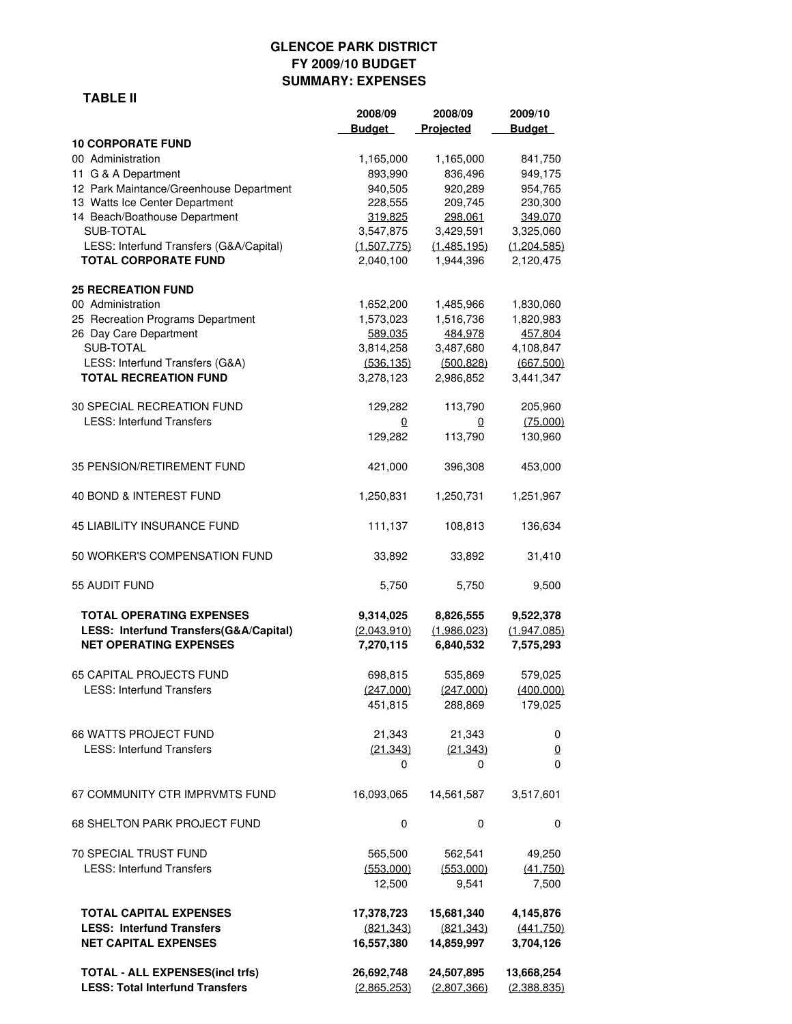# **GLENCOE PARK DISTRICT FY 2009/10 BUDGET SUMMARY: EXPENSES**

#### **TABLE II**

|                                                                                  | 2008/09<br><b>Budget</b>  | 2008/09<br>Projected      | 2009/10<br><b>Budget</b>  |
|----------------------------------------------------------------------------------|---------------------------|---------------------------|---------------------------|
| <b>10 CORPORATE FUND</b>                                                         |                           |                           |                           |
| 00 Administration                                                                | 1,165,000                 | 1,165,000                 | 841,750                   |
| 11 G & A Department                                                              | 893,990                   | 836,496                   | 949,175                   |
| 12 Park Maintance/Greenhouse Department                                          | 940,505                   | 920,289                   | 954,765                   |
| 13 Watts Ice Center Department                                                   | 228,555                   | 209,745                   | 230,300                   |
| 14 Beach/Boathouse Department                                                    | 319,825                   | 298,061                   | 349,070                   |
| SUB-TOTAL<br>LESS: Interfund Transfers (G&A/Capital)                             | 3,547,875                 | 3,429,591                 | 3,325,060                 |
| <b>TOTAL CORPORATE FUND</b>                                                      | (1,507,775)<br>2,040,100  | (1,485,195)<br>1,944,396  | (1,204,585)<br>2,120,475  |
| <b>25 RECREATION FUND</b>                                                        |                           |                           |                           |
| 00 Administration                                                                | 1,652,200                 | 1,485,966                 | 1,830,060                 |
| 25 Recreation Programs Department                                                | 1,573,023                 | 1,516,736                 | 1,820,983                 |
| 26 Day Care Department                                                           | 589,035                   | 484,978                   | 457,804                   |
| SUB-TOTAL<br>LESS: Interfund Transfers (G&A)                                     | 3,814,258<br>(536, 135)   | 3,487,680<br>(500, 828)   | 4,108,847<br>(667, 500)   |
| <b>TOTAL RECREATION FUND</b>                                                     | 3,278,123                 | 2,986,852                 | 3,441,347                 |
| 30 SPECIAL RECREATION FUND                                                       | 129,282                   | 113,790                   | 205,960                   |
| <b>LESS: Interfund Transfers</b>                                                 | 0                         | 0                         | (75,000)                  |
|                                                                                  | 129,282                   | 113,790                   | 130,960                   |
| 35 PENSION/RETIREMENT FUND                                                       | 421,000                   | 396,308                   | 453,000                   |
| 40 BOND & INTEREST FUND                                                          | 1,250,831                 | 1,250,731                 | 1,251,967                 |
| <b>45 LIABILITY INSURANCE FUND</b>                                               | 111,137                   | 108,813                   | 136,634                   |
| 50 WORKER'S COMPENSATION FUND                                                    | 33,892                    | 33,892                    | 31,410                    |
| 55 AUDIT FUND                                                                    | 5,750                     | 5,750                     | 9,500                     |
| <b>TOTAL OPERATING EXPENSES</b>                                                  | 9,314,025                 | 8,826,555                 | 9,522,378                 |
| LESS: Interfund Transfers(G&A/Capital)<br><b>NET OPERATING EXPENSES</b>          | (2,043,910)<br>7,270,115  | (1,986,023)<br>6,840,532  | (1,947,085)<br>7,575,293  |
| <b>65 CAPITAL PROJECTS FUND</b>                                                  | 698,815                   | 535,869                   | 579,025                   |
| <b>LESS: Interfund Transfers</b>                                                 | (247,000)                 | (247,000)                 | (400,000)                 |
|                                                                                  | 451,815                   | 288,869                   | 179,025                   |
| <b>66 WATTS PROJECT FUND</b>                                                     | 21,343                    | 21,343                    | 0                         |
| <b>LESS: Interfund Transfers</b>                                                 | (21, 343)                 | (21, 343)                 | 0                         |
|                                                                                  | 0                         | 0                         | 0                         |
| 67 COMMUNITY CTR IMPRVMTS FUND                                                   | 16,093,065                | 14,561,587                | 3,517,601                 |
| <b>68 SHELTON PARK PROJECT FUND</b>                                              | 0                         | 0                         | 0                         |
| 70 SPECIAL TRUST FUND                                                            | 565,500                   | 562,541                   | 49,250                    |
| <b>LESS: Interfund Transfers</b>                                                 | (553,000)                 | (553,000)                 | (41,750)                  |
|                                                                                  | 12,500                    | 9,541                     | 7,500                     |
| <b>TOTAL CAPITAL EXPENSES</b>                                                    | 17,378,723                | 15,681,340                | 4,145,876                 |
| <b>LESS: Interfund Transfers</b>                                                 | (821, 343)                | (821.343)                 | (441.750)                 |
| <b>NET CAPITAL EXPENSES</b>                                                      | 16,557,380                | 14,859,997                | 3,704,126                 |
| <b>TOTAL - ALL EXPENSES(incl trfs)</b><br><b>LESS: Total Interfund Transfers</b> | 26,692,748<br>(2,865,253) | 24,507,895<br>(2,807,366) | 13,668,254<br>(2,388,835) |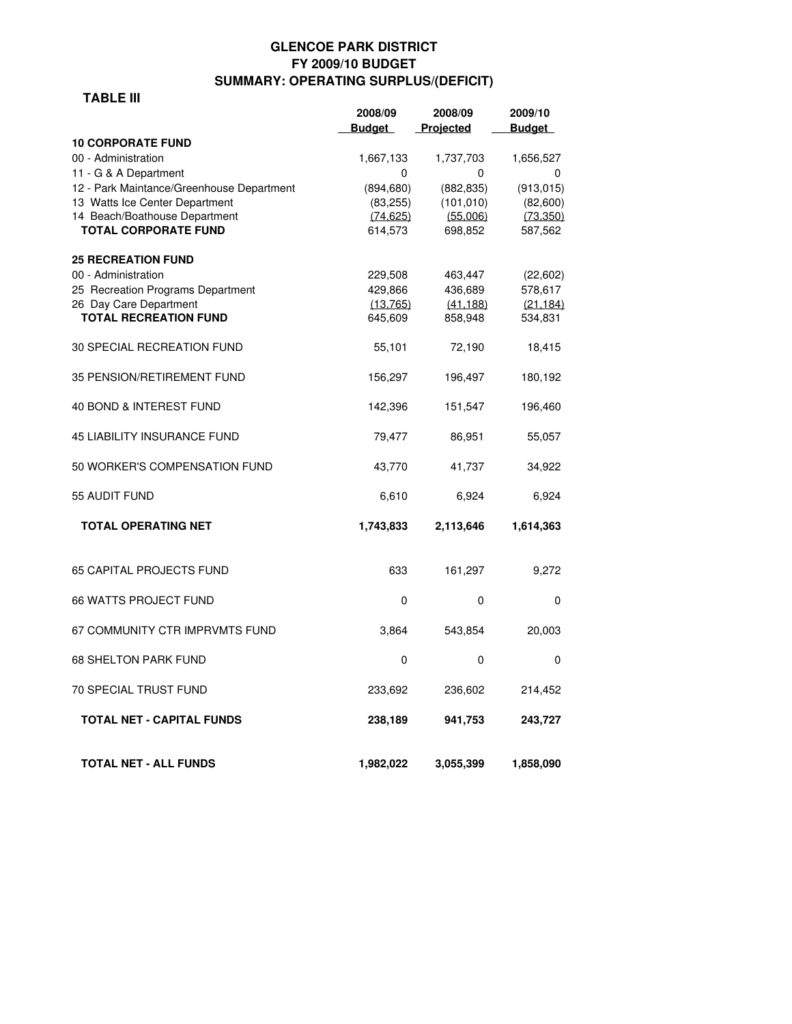# **GLENCOE PARK DISTRICT FY 2009/10 BUDGET SUMMARY: OPERATING SURPLUS/(DEFICIT)**

#### **TABLE III**

|                                           | 2008/09       | 2008/09    | 2009/10       |
|-------------------------------------------|---------------|------------|---------------|
|                                           | <b>Budget</b> | Projected  | <b>Budget</b> |
| <b>10 CORPORATE FUND</b>                  |               |            |               |
| 00 - Administration                       | 1,667,133     | 1,737,703  | 1,656,527     |
| 11 - G & A Department                     | 0             | 0          | 0             |
| 12 - Park Maintance/Greenhouse Department | (894, 680)    | (882, 835) | (913, 015)    |
| 13 Watts Ice Center Department            | (83, 255)     | (101, 010) | (82,600)      |
| 14 Beach/Boathouse Department             | (74.625)      | (55.006)   | (73.350)      |
| <b>TOTAL CORPORATE FUND</b>               | 614,573       | 698,852    | 587,562       |
| <b>25 RECREATION FUND</b>                 |               |            |               |
| 00 - Administration                       | 229,508       | 463,447    | (22,602)      |
| 25 Recreation Programs Department         | 429,866       | 436,689    | 578,617       |
| 26 Day Care Department                    | (13, 765)     | (41.188)   | (21.184)      |
| <b>TOTAL RECREATION FUND</b>              | 645,609       | 858,948    | 534,831       |
|                                           |               |            |               |
| 30 SPECIAL RECREATION FUND                | 55,101        | 72,190     | 18,415        |
| 35 PENSION/RETIREMENT FUND                | 156,297       | 196,497    | 180,192       |
|                                           |               |            |               |
| 40 BOND & INTEREST FUND                   | 142,396       | 151,547    | 196,460       |
| <b>45 LIABILITY INSURANCE FUND</b>        | 79,477        | 86,951     | 55,057        |
| 50 WORKER'S COMPENSATION FUND             | 43,770        | 41,737     | 34,922        |
| 55 AUDIT FUND                             | 6,610         | 6,924      | 6,924         |
| <b>TOTAL OPERATING NET</b>                | 1,743,833     | 2,113,646  | 1,614,363     |
| <b>65 CAPITAL PROJECTS FUND</b>           | 633           | 161,297    | 9,272         |
| <b>66 WATTS PROJECT FUND</b>              | 0             | $\Omega$   |               |
|                                           |               |            | 0             |
| 67 COMMUNITY CTR IMPRVMTS FUND            | 3,864         | 543,854    | 20,003        |
| <b>68 SHELTON PARK FUND</b>               | 0             | 0          | 0             |
| <b>70 SPECIAL TRUST FUND</b>              | 233,692       | 236,602    | 214,452       |
| TOTAL NET - CAPITAL FUNDS                 | 238,189       | 941,753    | 243,727       |
| <b>TOTAL NET - ALL FUNDS</b>              | 1,982,022     | 3,055,399  | 1,858,090     |